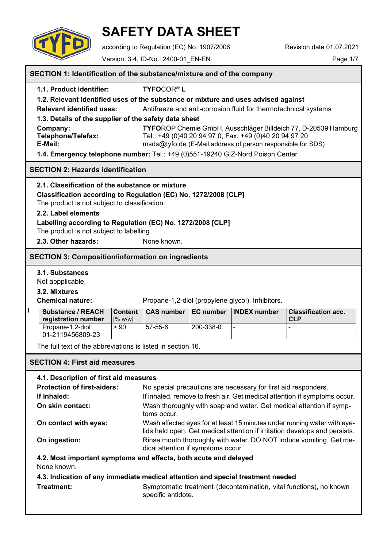

# **SAFETY DATA SHEET**

according to Regulation (EC) No. 1907/2006 Revision date 01.07.2021

Version: 3.4, ID-No.: 2400-01\_EN-EN Page 1/7

|                                                     | SECTION 1: Identification of the substance/mixture and of the company                                  |                           |                                                                                                                                                        |           |                                                                    |                                                                    |
|-----------------------------------------------------|--------------------------------------------------------------------------------------------------------|---------------------------|--------------------------------------------------------------------------------------------------------------------------------------------------------|-----------|--------------------------------------------------------------------|--------------------------------------------------------------------|
|                                                     | <b>TYFOCOR®L</b><br>1.1. Product identifier:                                                           |                           |                                                                                                                                                        |           |                                                                    |                                                                    |
|                                                     |                                                                                                        |                           | 1.2. Relevant identified uses of the substance or mixture and uses advised against                                                                     |           |                                                                    |                                                                    |
|                                                     | <b>Relevant identified uses:</b>                                                                       |                           | Antifreeze and anti-corrosion fluid for thermotechnical systems                                                                                        |           |                                                                    |                                                                    |
|                                                     | 1.3. Details of the supplier of the safety data sheet                                                  |                           |                                                                                                                                                        |           |                                                                    |                                                                    |
|                                                     | Company:<br><b>Telephone/Telefax:</b>                                                                  |                           |                                                                                                                                                        |           | Tel.: +49 (0)40 20 94 97 0, Fax: +49 (0)40 20 94 97 20             | TYFOROP Chemie GmbH, Ausschläger Billdeich 77, D-20539 Hamburg     |
|                                                     | E-Mail:                                                                                                |                           |                                                                                                                                                        |           | msds@tyfo.de (E-Mail address of person responsible for SDS)        |                                                                    |
|                                                     | 1.4. Emergency telephone number: Tel.: +49 (0)551-19240 GIZ-Nord Poison Center                         |                           |                                                                                                                                                        |           |                                                                    |                                                                    |
|                                                     | <b>SECTION 2: Hazards identification</b>                                                               |                           |                                                                                                                                                        |           |                                                                    |                                                                    |
|                                                     | 2.1. Classification of the substance or mixture                                                        |                           |                                                                                                                                                        |           |                                                                    |                                                                    |
|                                                     | Classification according to Regulation (EC) No. 1272/2008 [CLP]                                        |                           |                                                                                                                                                        |           |                                                                    |                                                                    |
|                                                     | The product is not subject to classification.                                                          |                           |                                                                                                                                                        |           |                                                                    |                                                                    |
|                                                     | 2.2. Label elements                                                                                    |                           |                                                                                                                                                        |           |                                                                    |                                                                    |
|                                                     | Labelling according to Regulation (EC) No. 1272/2008 [CLP]<br>The product is not subject to labelling. |                           |                                                                                                                                                        |           |                                                                    |                                                                    |
|                                                     | 2.3. Other hazards:                                                                                    |                           | None known.                                                                                                                                            |           |                                                                    |                                                                    |
|                                                     |                                                                                                        |                           |                                                                                                                                                        |           |                                                                    |                                                                    |
|                                                     | <b>SECTION 3: Composition/information on ingredients</b>                                               |                           |                                                                                                                                                        |           |                                                                    |                                                                    |
|                                                     | 3.1. Substances                                                                                        |                           |                                                                                                                                                        |           |                                                                    |                                                                    |
|                                                     | Not appplicable.                                                                                       |                           |                                                                                                                                                        |           |                                                                    |                                                                    |
|                                                     | 3.2. Mixtures                                                                                          |                           |                                                                                                                                                        |           |                                                                    |                                                                    |
|                                                     | <b>Chemical nature:</b>                                                                                |                           |                                                                                                                                                        |           | Propane-1,2-diol (propylene glycol). Inhibitors.                   |                                                                    |
|                                                     | <b>Substance / REACH</b><br>registration number                                                        | <b>Content</b><br>[% w/w] | <b>CAS number</b>                                                                                                                                      |           | <b>EC number INDEX number</b>                                      | <b>Classification acc.</b><br><b>CLP</b>                           |
|                                                     | Propane-1,2-diol                                                                                       | > 90                      | 57-55-6                                                                                                                                                | 200-338-0 |                                                                    |                                                                    |
|                                                     | 01-2119456809-23                                                                                       |                           |                                                                                                                                                        |           |                                                                    |                                                                    |
|                                                     | The full text of the abbreviations is listed in section 16.                                            |                           |                                                                                                                                                        |           |                                                                    |                                                                    |
|                                                     | <b>SECTION 4: First aid measures</b>                                                                   |                           |                                                                                                                                                        |           |                                                                    |                                                                    |
|                                                     | 4.1. Description of first aid measures                                                                 |                           |                                                                                                                                                        |           |                                                                    |                                                                    |
|                                                     | <b>Protection of first-aiders:</b>                                                                     |                           |                                                                                                                                                        |           | No special precautions are necessary for first aid responders.     |                                                                    |
|                                                     | If inhaled:                                                                                            |                           | If inhaled, remove to fresh air. Get medical attention if symptoms occur.                                                                              |           |                                                                    |                                                                    |
|                                                     | On skin contact:                                                                                       |                           | Wash thoroughly with soap and water. Get medical attention if symp-<br>toms occur.                                                                     |           |                                                                    |                                                                    |
|                                                     | On contact with eyes:                                                                                  |                           | Wash affected eyes for at least 15 minutes under running water with eye-<br>lids held open. Get medical attention if irritation develops and persists. |           |                                                                    |                                                                    |
| On ingestion:<br>dical attention if symptoms occur. |                                                                                                        |                           |                                                                                                                                                        |           | Rinse mouth thoroughly with water. DO NOT induce vomiting. Get me- |                                                                    |
|                                                     | 4.2. Most important symptoms and effects, both acute and delayed                                       |                           |                                                                                                                                                        |           |                                                                    |                                                                    |
|                                                     | None known.                                                                                            |                           |                                                                                                                                                        |           |                                                                    |                                                                    |
|                                                     | 4.3. Indication of any immediate medical attention and special treatment needed                        |                           |                                                                                                                                                        |           |                                                                    |                                                                    |
|                                                     | <b>Treatment:</b>                                                                                      |                           | specific antidote.                                                                                                                                     |           |                                                                    | Symptomatic treatment (decontamination, vital functions), no known |
|                                                     |                                                                                                        |                           |                                                                                                                                                        |           |                                                                    |                                                                    |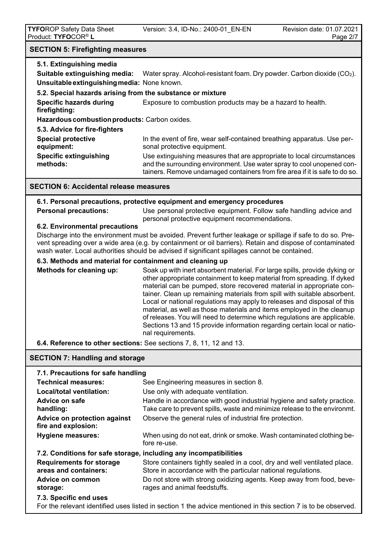# **SECTION 5: Firefighting measures**

| 5.1. Extinguishing media                                                                                                                 |                                                                                                                                                                                                                                                                                                                                                                                                                                                                                                                                                                                                                                               |  |
|------------------------------------------------------------------------------------------------------------------------------------------|-----------------------------------------------------------------------------------------------------------------------------------------------------------------------------------------------------------------------------------------------------------------------------------------------------------------------------------------------------------------------------------------------------------------------------------------------------------------------------------------------------------------------------------------------------------------------------------------------------------------------------------------------|--|
| Suitable extinguishing media:                                                                                                            | Water spray. Alcohol-resistant foam. Dry powder. Carbon dioxide (CO2).                                                                                                                                                                                                                                                                                                                                                                                                                                                                                                                                                                        |  |
| Unsuitable extinguishing media: None known.                                                                                              |                                                                                                                                                                                                                                                                                                                                                                                                                                                                                                                                                                                                                                               |  |
| 5.2. Special hazards arising from the substance or mixture                                                                               |                                                                                                                                                                                                                                                                                                                                                                                                                                                                                                                                                                                                                                               |  |
| <b>Specific hazards during</b><br>firefighting:                                                                                          | Exposure to combustion products may be a hazard to health.                                                                                                                                                                                                                                                                                                                                                                                                                                                                                                                                                                                    |  |
| Hazardous combustion products: Carbon oxides.                                                                                            |                                                                                                                                                                                                                                                                                                                                                                                                                                                                                                                                                                                                                                               |  |
| 5.3. Advice for fire-fighters                                                                                                            |                                                                                                                                                                                                                                                                                                                                                                                                                                                                                                                                                                                                                                               |  |
| <b>Special protective</b><br>equipment:                                                                                                  | In the event of fire, wear self-contained breathing apparatus. Use per-<br>sonal protective equipment.                                                                                                                                                                                                                                                                                                                                                                                                                                                                                                                                        |  |
| <b>Specific extinguishing</b><br>methods:                                                                                                | Use extinguishing measures that are appropriate to local circumstances<br>and the surrounding environment. Use water spray to cool unopened con-<br>tainers. Remove undamaged containers from fire area if it is safe to do so.                                                                                                                                                                                                                                                                                                                                                                                                               |  |
| <b>SECTION 6: Accidental release measures</b>                                                                                            |                                                                                                                                                                                                                                                                                                                                                                                                                                                                                                                                                                                                                                               |  |
|                                                                                                                                          | 6.1. Personal precautions, protective equipment and emergency procedures                                                                                                                                                                                                                                                                                                                                                                                                                                                                                                                                                                      |  |
| <b>Personal precautions:</b>                                                                                                             | Use personal protective equipment. Follow safe handling advice and<br>personal protective equipment recommendations.                                                                                                                                                                                                                                                                                                                                                                                                                                                                                                                          |  |
| 6.2. Environmental precautions                                                                                                           | Discharge into the environment must be avoided. Prevent further leakage or spillage if safe to do so. Pre-<br>vent spreading over a wide area (e.g. by containment or oil barriers). Retain and dispose of contaminated<br>wash water. Local authorities should be advised if significant spillages cannot be contained.                                                                                                                                                                                                                                                                                                                      |  |
| 6.3. Methods and material for containment and cleaning up                                                                                |                                                                                                                                                                                                                                                                                                                                                                                                                                                                                                                                                                                                                                               |  |
| Methods for cleaning up:                                                                                                                 | Soak up with inert absorbent material. For large spills, provide dyking or<br>other appropriate containment to keep material from spreading. If dyked<br>material can be pumped, store recovered material in appropriate con-<br>tainer. Clean up remaining materials from spill with suitable absorbent.<br>Local or national regulations may apply to releases and disposal of this<br>material, as well as those materials and items employed in the cleanup<br>of releases. You will need to determine which regulations are applicable.<br>Sections 13 and 15 provide information regarding certain local or natio-<br>nal requirements. |  |
| 6.4. Reference to other sections: See sections 7, 8, 11, 12 and 13.                                                                      |                                                                                                                                                                                                                                                                                                                                                                                                                                                                                                                                                                                                                                               |  |
| <b>SECTION 7: Handling and storage</b>                                                                                                   |                                                                                                                                                                                                                                                                                                                                                                                                                                                                                                                                                                                                                                               |  |
| 7.1. Precautions for safe handling                                                                                                       |                                                                                                                                                                                                                                                                                                                                                                                                                                                                                                                                                                                                                                               |  |
| <b>Technical measures:</b>                                                                                                               | See Engineering measures in section 8.                                                                                                                                                                                                                                                                                                                                                                                                                                                                                                                                                                                                        |  |
| Local/total ventilation:                                                                                                                 | Use only with adequate ventilation.                                                                                                                                                                                                                                                                                                                                                                                                                                                                                                                                                                                                           |  |
| <b>Advice on safe</b><br>handling:                                                                                                       | Handle in accordance with good industrial hygiene and safety practice.<br>Take care to prevent spills, waste and minimize release to the environmt.                                                                                                                                                                                                                                                                                                                                                                                                                                                                                           |  |
| <b>Advice on protection against</b><br>fire and explosion:                                                                               | Observe the general rules of industrial fire protection.                                                                                                                                                                                                                                                                                                                                                                                                                                                                                                                                                                                      |  |
| <b>Hygiene measures:</b>                                                                                                                 | When using do not eat, drink or smoke. Wash contaminated clothing be-<br>fore re-use.                                                                                                                                                                                                                                                                                                                                                                                                                                                                                                                                                         |  |
| 7.2. Conditions for safe storage, including any incompatibilities                                                                        |                                                                                                                                                                                                                                                                                                                                                                                                                                                                                                                                                                                                                                               |  |
| <b>Requirements for storage</b><br>areas and containers:                                                                                 | Store containers tightly sealed in a cool, dry and well ventilated place.<br>Store in accordance with the particular national regulations.                                                                                                                                                                                                                                                                                                                                                                                                                                                                                                    |  |
| Advice on common<br>storage:                                                                                                             | Do not store with strong oxidizing agents. Keep away from food, beve-<br>rages and animal feedstuffs.                                                                                                                                                                                                                                                                                                                                                                                                                                                                                                                                         |  |
| 7.3. Specific end uses<br>For the relevant identified uses listed in section 1 the advice mentioned in this section 7 is to be observed. |                                                                                                                                                                                                                                                                                                                                                                                                                                                                                                                                                                                                                                               |  |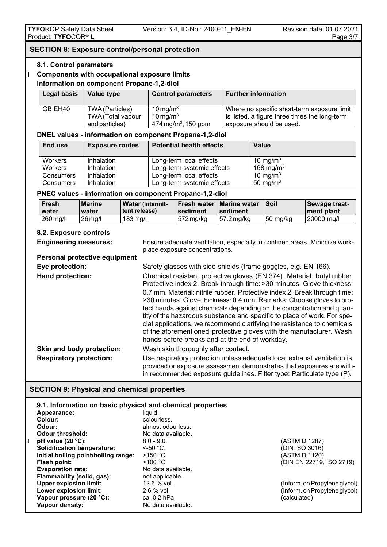#### **SECTION 8: Exposure control/personal protection**

#### **8.1. Control parameters**

#### **Components with occupational exposure limits Information on component Propane-1,2-diol**

| <b>Legal basis</b> | Value type        | <b>Control parameters</b>       | <b>Further information</b>                    |
|--------------------|-------------------|---------------------------------|-----------------------------------------------|
| GB EH40            | TWA (Particles)   | $10 \,\mathrm{mg/m^3}$          | Where no specific short-term exposure limit   |
|                    | TWA (Total vapour | $10 \,\mathrm{mg/m^3}$          | is listed, a figure three times the long-term |
|                    | and particles)    | 474 mg/m <sup>3</sup> , 150 ppm | exposure should be used.                      |

## **DNEL values - information on component Propane-1,2-diol**

| End use        | <b>Exposure routes</b> | <b>Potential health effects</b> | Value                 |
|----------------|------------------------|---------------------------------|-----------------------|
| Workers        | Inhalation             | Long-term local effects         | 10 mg/m $3$           |
| <b>Workers</b> | Inhalation             | Long-term systemic effects      | 168 mg/m <sup>3</sup> |
| Consumers      | Inhalation             | Long-term local effects         | 10 mg/m $3$           |
| Consumers      | Inhalation             | Long-term systemic effects      | 50 mg/m $3$           |

#### **PNEC values - information on component Propane-1,2-diol**

| <b>Fresh</b><br>water | <b>Marine</b><br>water | <b>Water (intermit-</b><br>l tent release) | <b>I</b> sediment | ⊺Fresh water ⊺Marine water<br>sediment | ∣Soil    | Sewage treat-<br>I ment plant |
|-----------------------|------------------------|--------------------------------------------|-------------------|----------------------------------------|----------|-------------------------------|
| 260 mg/l              | $26$ ma/l              | 183 ma/l                                   | 572 ma/ka         | ⊦57.2 ma/ka                            | 50 mg/kg | 20000 mg/l                    |

## **8.2. Exposure controls**

| <b>Engineering measures:</b>         | Ensure adequate ventilation, especially in confined areas. Minimize work-<br>place exposure concentrations.                                                                                                                                                                                                                                                                                                                                                                                                                                                                                                                                                  |
|--------------------------------------|--------------------------------------------------------------------------------------------------------------------------------------------------------------------------------------------------------------------------------------------------------------------------------------------------------------------------------------------------------------------------------------------------------------------------------------------------------------------------------------------------------------------------------------------------------------------------------------------------------------------------------------------------------------|
| <b>Personal protective equipment</b> |                                                                                                                                                                                                                                                                                                                                                                                                                                                                                                                                                                                                                                                              |
| Eye protection:                      | Safety glasses with side-shields (frame goggles, e.g. EN 166).                                                                                                                                                                                                                                                                                                                                                                                                                                                                                                                                                                                               |
| Hand protection:                     | Chemical resistant protective gloves (EN 374). Material: butyl rubber.<br>Protective index 2. Break through time: > 30 minutes. Glove thickness:<br>0.7 mm. Material: nitrile rubber. Protective index 2. Break through time:<br>>30 minutes. Glove thickness: 0.4 mm. Remarks: Choose gloves to pro-<br>tect hands against chemicals depending on the concentration and quan-<br>tity of the hazardous substance and specific to place of work. For spe-<br>cial applications, we recommend clarifying the resistance to chemicals<br>of the aforementioned protective gloves with the manufacturer. Wash<br>hands before breaks and at the end of workday. |
| Skin and body protection:            | Wash skin thoroughly after contact.                                                                                                                                                                                                                                                                                                                                                                                                                                                                                                                                                                                                                          |
| <b>Respiratory protection:</b>       | Use respiratory protection unless adequate local exhaust ventilation is<br>provided or exposure assessment demonstrates that exposures are with-<br>in recommended exposure guidelines. Filter type: Particulate type (P).                                                                                                                                                                                                                                                                                                                                                                                                                                   |

## **SECTION 9: Physical and chemical properties**

| 9.1. Information on basic physical and chemical properties |                    |                               |
|------------------------------------------------------------|--------------------|-------------------------------|
| Appearance:                                                | liauid.            |                               |
| Colour:                                                    | colourless.        |                               |
| Odour:                                                     | almost odourless.  |                               |
| <b>Odour threshold:</b>                                    | No data available. |                               |
| pH value $(20 °C)$ :                                       | $8.0 - 9.0$        | (ASTM D 1287)                 |
| <b>Solidification temperature:</b>                         | $\leq$ -50 °C.     | (DIN ISO 3016)                |
| Initial boiling point/boiling range:                       | $>150$ °C.         | (ASTM D 1120)                 |
| Flash point:                                               | $>100 °C$ .        | (DIN EN 22719, ISO 2719)      |
| <b>Evaporation rate:</b>                                   | No data available. |                               |
| Flammability (solid, gas):                                 | not applicable.    |                               |
| <b>Upper explosion limit:</b>                              | $12.6%$ vol.       | (Inform. on Propylene glycol) |
| Lower explosion limit:                                     | $2.6\%$ vol.       | (Inform. on Propylene glycol) |
| Vapour pressure (20 °C):                                   | ca. 0.2 hPa.       | (calculated)                  |
| Vapour density:                                            | No data available. |                               |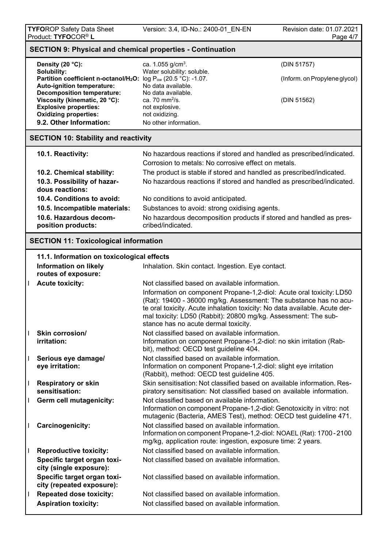|              | <b>SECTION 9: Physical and chemical properties - Continuation</b>                                                                                                |                                                                                                                                                                                                                                                                                                                                   |                               |  |  |
|--------------|------------------------------------------------------------------------------------------------------------------------------------------------------------------|-----------------------------------------------------------------------------------------------------------------------------------------------------------------------------------------------------------------------------------------------------------------------------------------------------------------------------------|-------------------------------|--|--|
|              | Density (20 °C):                                                                                                                                                 | ca. 1.055 $g/cm3$ .                                                                                                                                                                                                                                                                                                               | (DIN 51757)                   |  |  |
|              | Solubility:<br>Partition coefficient n-octanol/H <sub>2</sub> O: log P <sub>ow</sub> (20.5 °C): -1.07.                                                           | Water solubility: soluble.                                                                                                                                                                                                                                                                                                        | (Inform. on Propylene glycol) |  |  |
|              | Auto-ignition temperature:<br><b>Decomposition temperature:</b><br>Viscosity (kinematic, 20 °C):<br><b>Explosive properties:</b><br><b>Oxidizing properties:</b> | No data available.<br>No data available.<br>ca. 70 $mm^2/s$ .<br>not explosive.<br>not oxidizing.                                                                                                                                                                                                                                 | (DIN 51562)                   |  |  |
|              | 9.2. Other Information:                                                                                                                                          | No other information.                                                                                                                                                                                                                                                                                                             |                               |  |  |
|              | <b>SECTION 10: Stability and reactivity</b>                                                                                                                      |                                                                                                                                                                                                                                                                                                                                   |                               |  |  |
|              | 10.1. Reactivity:                                                                                                                                                | No hazardous reactions if stored and handled as prescribed/indicated.                                                                                                                                                                                                                                                             |                               |  |  |
|              |                                                                                                                                                                  | Corrosion to metals: No corrosive effect on metals.                                                                                                                                                                                                                                                                               |                               |  |  |
|              | 10.2. Chemical stability:                                                                                                                                        | The product is stable if stored and handled as prescribed/indicated.                                                                                                                                                                                                                                                              |                               |  |  |
|              | 10.3. Possibility of hazar-<br>dous reactions:                                                                                                                   | No hazardous reactions if stored and handled as prescribed/indicated.                                                                                                                                                                                                                                                             |                               |  |  |
|              | 10.4. Conditions to avoid:                                                                                                                                       | No conditions to avoid anticipated.                                                                                                                                                                                                                                                                                               |                               |  |  |
|              | 10.5. Incompatible materials:                                                                                                                                    | Substances to avoid: strong oxidising agents.                                                                                                                                                                                                                                                                                     |                               |  |  |
|              | 10.6. Hazardous decom-<br>position products:                                                                                                                     | No hazardous decomposition products if stored and handled as pres-<br>cribed/indicated.                                                                                                                                                                                                                                           |                               |  |  |
|              | <b>SECTION 11: Toxicological information</b>                                                                                                                     |                                                                                                                                                                                                                                                                                                                                   |                               |  |  |
|              | 11.1. Information on toxicological effects                                                                                                                       |                                                                                                                                                                                                                                                                                                                                   |                               |  |  |
|              | <b>Information on likely</b><br>routes of exposure:                                                                                                              | Inhalation. Skin contact. Ingestion. Eye contact.                                                                                                                                                                                                                                                                                 |                               |  |  |
|              | <b>Acute toxicity:</b>                                                                                                                                           | Not classified based on available information.                                                                                                                                                                                                                                                                                    |                               |  |  |
|              |                                                                                                                                                                  | Information on component Propane-1,2-diol: Acute oral toxicity: LD50<br>(Rat): 19400 - 36000 mg/kg. Assessment: The substance has no acu-<br>te oral toxicity. Acute inhalation toxicity: No data available. Acute der-<br>mal toxicity: LD50 (Rabbit): 20800 mg/kg. Assessment: The sub-<br>stance has no acute dermal toxicity. |                               |  |  |
|              | Skin corrosion/<br>irritation:                                                                                                                                   | Not classified based on available information.<br>Information on component Propane-1,2-diol: no skin irritation (Rab-                                                                                                                                                                                                             |                               |  |  |
|              |                                                                                                                                                                  | bit), method: OECD test guideline 404.                                                                                                                                                                                                                                                                                            |                               |  |  |
|              | Serious eye damage/<br>eye irritation:                                                                                                                           | Not classified based on available information.<br>Information on component Propane-1,2-diol: slight eye irritation<br>(Rabbit), method: OECD test guideline 405.                                                                                                                                                                  |                               |  |  |
| $\mathbf{I}$ | <b>Respiratory or skin</b><br>sensitisation:                                                                                                                     | Skin sensitisation: Not classified based on available information. Res-<br>piratory sensitisation: Not classified based on available information.                                                                                                                                                                                 |                               |  |  |
|              | <b>Germ cell mutagenicity:</b>                                                                                                                                   | Not classified based on available information.<br>Information on component Propane-1,2-diol: Genotoxicity in vitro: not<br>mutagenic (Bacteria, AMES Test), method: OECD test guideline 471.                                                                                                                                      |                               |  |  |
|              | Carcinogenicity:                                                                                                                                                 | Not classified based on available information.<br>Information on component Propane-1,2-diol: NOAEL (Rat): 1700-2100<br>mg/kg, application route: ingestion, exposure time: 2 years.                                                                                                                                               |                               |  |  |
|              | <b>Reproductive toxicity:</b>                                                                                                                                    | Not classified based on available information.                                                                                                                                                                                                                                                                                    |                               |  |  |
|              | Specific target organ toxi-<br>city (single exposure):                                                                                                           | Not classified based on available information.                                                                                                                                                                                                                                                                                    |                               |  |  |
|              | Specific target organ toxi-<br>city (repeated exposure):                                                                                                         | Not classified based on available information.                                                                                                                                                                                                                                                                                    |                               |  |  |
|              | <b>Repeated dose toxicity:</b>                                                                                                                                   | Not classified based on available information.                                                                                                                                                                                                                                                                                    |                               |  |  |
|              | <b>Aspiration toxicity:</b>                                                                                                                                      | Not classified based on available information.                                                                                                                                                                                                                                                                                    |                               |  |  |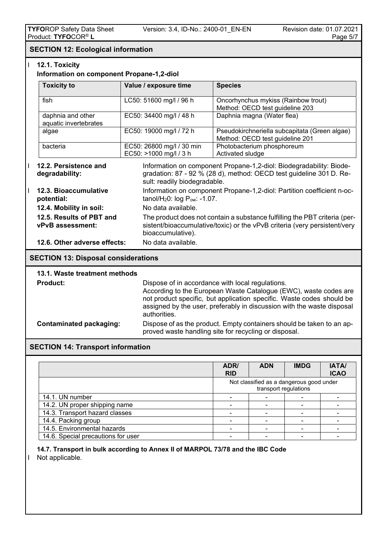## **SECTION 12: Ecological information**

## **12.1. Toxicity**

#### **Information on component Propane-1,2-diol**

| <b>Toxicity to</b>                         | Value / exposure time                               | <b>Species</b>                                                                   |
|--------------------------------------------|-----------------------------------------------------|----------------------------------------------------------------------------------|
| fish                                       | LC50: 51600 mg/l / 96 h                             | Oncorhynchus mykiss (Rainbow trout)<br>Method: OECD test guideline 203           |
| daphnia and other<br>aquatic invertebrates | EC50: 34400 mg/l / 48 h                             | Daphnia magna (Water flea)                                                       |
| algae                                      | EC50: 19000 mg/l / 72 h                             | Pseudokirchneriella subcapitata (Green algae)<br>Method: OECD test guideline 201 |
| bacteria                                   | EC50: 26800 mg/l / 30 min<br>EC50: >1000 mg/l / 3 h | Photobacterium phosphoreum<br>Activated sludge                                   |

- **12.2. Persistence and** Information on component Propane-1,2-diol: Biodegradability: Biode**degradability:** gradation: 87 - 92 % (28 d), method: OECD test guideline 301 D. Re-
- sult: readily biodegradable. **12.3. Bioaccumulative** Information on component Propane-1,2-diol: Partition coefficient n-oc**potential:**  $\qquad \qquad \text{tanol/H}_20$ : log P<sub>ow:</sub> -1.07. **12.4. Mobility in soil:** No data available. **12.5. Results of PBT and** The product does not contain a substance fulfilling the PBT criteria (per-<br>**PVB assessment:** sistent/bioaccumulative/toxic) or the vPvB criteria (very persistent/very sistent/bioaccumulative/toxic) or the vPvB criteria (very persistent/very bioaccumulative).  **12.6. Other adverse effects:** No data available.

#### **SECTION 13: Disposal considerations**

| 13.1. Waste treatment methods |                                                                                                                                                                                                                                                                                         |
|-------------------------------|-----------------------------------------------------------------------------------------------------------------------------------------------------------------------------------------------------------------------------------------------------------------------------------------|
| <b>Product:</b>               | Dispose of in accordance with local regulations.<br>According to the European Waste Catalogue (EWC), waste codes are<br>not product specific, but application specific. Waste codes should be<br>assigned by the user, preferably in discussion with the waste disposal<br>authorities. |
| Contaminated packaging:       | Dispose of as the product. Empty containers should be taken to an ap-<br>proved waste handling site for recycling or disposal.                                                                                                                                                          |

#### **SECTION 14: Transport information**

|                                    | ADR/<br><b>RID</b> | <b>ADN</b>                                                        | <b>IMDG</b> | <b>IATA/</b><br><b>ICAO</b> |
|------------------------------------|--------------------|-------------------------------------------------------------------|-------------|-----------------------------|
|                                    |                    | Not classified as a dangerous good under<br>transport regulations |             |                             |
| 14.1. UN number                    |                    |                                                                   |             |                             |
| 14.2. UN proper shipping name      |                    |                                                                   |             |                             |
| 14.3. Transport hazard classes     |                    |                                                                   |             |                             |
| 14.4. Packing group                |                    |                                                                   |             |                             |
| 14.5. Environmental hazards        |                    |                                                                   |             |                             |
| 14.6. Special precautions for user |                    |                                                                   |             |                             |

## **14.7. Transport in bulk according to Annex II of MARPOL 73/78 and the IBC Code**

I Not applicable.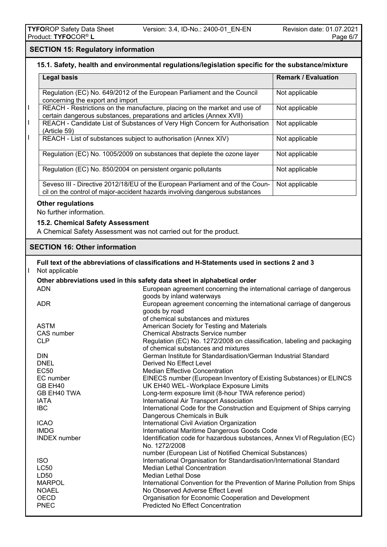## **SECTION 15: Regulatory information**

## **15.1. Safety, health and environmental regulations/legislation specific for the substance/mixture**

|   | <b>Legal basis</b>                                                                                                                                |                                                                                                                                                              | <b>Remark / Evaluation</b> |
|---|---------------------------------------------------------------------------------------------------------------------------------------------------|--------------------------------------------------------------------------------------------------------------------------------------------------------------|----------------------------|
|   | Regulation (EC) No. 649/2012 of the European Parliament and the Council<br>concerning the export and import                                       | Not applicable                                                                                                                                               |                            |
| L | REACH - Restrictions on the manufacture, placing on the market and use of<br>certain dangerous substances, preparations and articles (Annex XVII) | Not applicable                                                                                                                                               |                            |
| L | (Article 59)                                                                                                                                      | REACH - Candidate List of Substances of Very High Concern for Authorisation                                                                                  | Not applicable             |
| L | REACH - List of substances subject to authorisation (Annex XIV)                                                                                   |                                                                                                                                                              | Not applicable             |
|   |                                                                                                                                                   | Regulation (EC) No. 1005/2009 on substances that deplete the ozone layer                                                                                     | Not applicable             |
|   | Regulation (EC) No. 850/2004 on persistent organic pollutants                                                                                     |                                                                                                                                                              | Not applicable             |
|   |                                                                                                                                                   | Seveso III - Directive 2012/18/EU of the European Parliament and of the Coun-<br>cil on the control of major-accident hazards involving dangerous substances | Not applicable             |
|   | <b>Other regulations</b>                                                                                                                          |                                                                                                                                                              |                            |
|   | No further information.                                                                                                                           |                                                                                                                                                              |                            |
|   | 15.2. Chemical Safety Assessment                                                                                                                  |                                                                                                                                                              |                            |
|   | A Chemical Safety Assessment was not carried out for the product.                                                                                 |                                                                                                                                                              |                            |
|   | <b>SECTION 16: Other information</b>                                                                                                              |                                                                                                                                                              |                            |
|   |                                                                                                                                                   |                                                                                                                                                              |                            |
| L | Not applicable                                                                                                                                    | Full text of the abbreviations of classifications and H-Statements used in sections 2 and 3                                                                  |                            |
|   |                                                                                                                                                   | Other abbreviations used in this safety data sheet in alphabetical order                                                                                     |                            |
|   | <b>ADN</b>                                                                                                                                        | European agreement concerning the international carriage of dangerous                                                                                        |                            |
|   |                                                                                                                                                   | goods by inland waterways                                                                                                                                    |                            |
|   | <b>ADR</b>                                                                                                                                        | European agreement concerning the international carriage of dangerous                                                                                        |                            |
|   |                                                                                                                                                   | goods by road                                                                                                                                                |                            |
|   |                                                                                                                                                   | of chemical substances and mixtures                                                                                                                          |                            |
|   | <b>ASTM</b>                                                                                                                                       | American Society for Testing and Materials                                                                                                                   |                            |
|   | CAS number                                                                                                                                        | <b>Chemical Abstracts Service number</b>                                                                                                                     |                            |
|   | <b>CLP</b>                                                                                                                                        | Regulation (EC) No. 1272/2008 on classification, labeling and packaging                                                                                      |                            |
|   |                                                                                                                                                   | of chemical substances and mixtures                                                                                                                          |                            |
|   | <b>DIN</b>                                                                                                                                        | German Institute for Standardisation/German Industrial Standard                                                                                              |                            |
|   | <b>DNEL</b><br><b>EC50</b>                                                                                                                        | Derived No Effect Level<br><b>Median Effective Concentration</b>                                                                                             |                            |
|   | EC number                                                                                                                                         | EINECS number (European Inventory of Existing Substances) or ELINCS                                                                                          |                            |
|   | GB EH40                                                                                                                                           | UK EH40 WEL-Workplace Exposure Limits                                                                                                                        |                            |
|   | GB EH40 TWA                                                                                                                                       | Long-term exposure limit (8-hour TWA reference period)                                                                                                       |                            |
|   | <b>IATA</b>                                                                                                                                       | International Air Transport Association                                                                                                                      |                            |
|   | <b>IBC</b>                                                                                                                                        | International Code for the Construction and Equipment of Ships carrying                                                                                      |                            |
|   |                                                                                                                                                   | Dangerous Chemicals in Bulk                                                                                                                                  |                            |
|   | <b>ICAO</b>                                                                                                                                       | International Civil Aviation Organization                                                                                                                    |                            |
|   | <b>IMDG</b>                                                                                                                                       | International Maritime Dangerous Goods Code                                                                                                                  |                            |
|   | <b>INDEX</b> number                                                                                                                               | Identification code for hazardous substances, Annex VI of Regulation (EC)<br>No. 1272/2008                                                                   |                            |
|   |                                                                                                                                                   | number (European List of Notified Chemical Substances)                                                                                                       |                            |
|   | <b>ISO</b>                                                                                                                                        | International Organisation for Standardisation/International Standard                                                                                        |                            |
|   | <b>LC50</b><br>LD50                                                                                                                               | <b>Median Lethal Concentration</b><br><b>Median Lethal Dose</b>                                                                                              |                            |
|   | <b>MARPOL</b>                                                                                                                                     | International Convention for the Prevention of Marine Pollution from Ships                                                                                   |                            |
|   | <b>NOAEL</b>                                                                                                                                      | No Observed Adverse Effect Level                                                                                                                             |                            |
|   | <b>OECD</b>                                                                                                                                       | Organisation for Economic Cooperation and Development                                                                                                        |                            |

PNEC Predicted No Effect Concentration